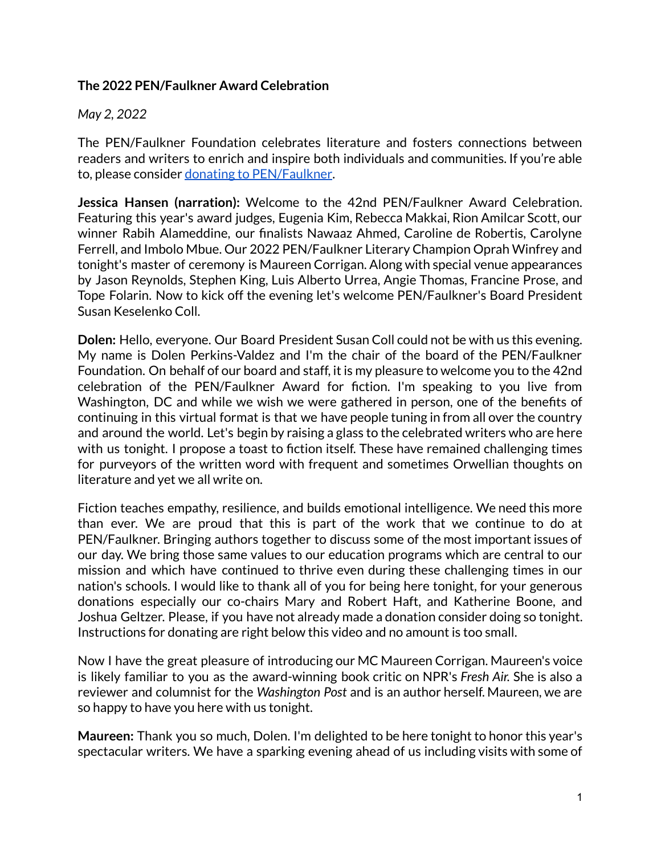## **The 2022 PEN/Faulkner Award Celebration**

## *May 2, 2022*

The PEN/Faulkner Foundation celebrates literature and fosters connections between readers and writers to enrich and inspire both individuals and communities. If you're able to, please consider donating to [PEN/Faulkner](https://www.penfaulkner.org/support-us/donate/).

**Jessica Hansen (narration):** Welcome to the 42nd PEN/Faulkner Award Celebration. Featuring this year's award judges, Eugenia Kim, Rebecca Makkai, Rion Amilcar Scott, our winner Rabih Alameddine, our finalists Nawaaz Ahmed, Caroline de Robertis, Carolyne Ferrell, and Imbolo Mbue. Our 2022 PEN/Faulkner Literary Champion Oprah Winfrey and tonight's master of ceremony is Maureen Corrigan. Along with special venue appearances by Jason Reynolds, Stephen King, Luis Alberto Urrea, Angie Thomas, Francine Prose, and Tope Folarin. Now to kick off the evening let's welcome PEN/Faulkner's Board President Susan Keselenko Coll.

**Dolen:** Hello, everyone. Our Board President Susan Coll could not be with us this evening. My name is Dolen Perkins-Valdez and I'm the chair of the board of the PEN/Faulkner Foundation. On behalf of our board and staff, it is my pleasure to welcome you to the 42nd celebration of the PEN/Faulkner Award for fiction. I'm speaking to you live from Washington, DC and while we wish we were gathered in person, one of the benefits of continuing in this virtual format is that we have people tuning in from all over the country and around the world. Let's begin by raising a glass to the celebrated writers who are here with us tonight. I propose a toast to fiction itself. These have remained challenging times for purveyors of the written word with frequent and sometimes Orwellian thoughts on literature and yet we all write on.

Fiction teaches empathy, resilience, and builds emotional intelligence. We need this more than ever. We are proud that this is part of the work that we continue to do at PEN/Faulkner. Bringing authors together to discuss some of the most important issues of our day. We bring those same values to our education programs which are central to our mission and which have continued to thrive even during these challenging times in our nation's schools. I would like to thank all of you for being here tonight, for your generous donations especially our co-chairs Mary and Robert Haft, and Katherine Boone, and Joshua Geltzer. Please, if you have not already made a donation consider doing so tonight. Instructions for donating are right below this video and no amount is too small.

Now I have the great pleasure of introducing our MC Maureen Corrigan. Maureen's voice is likely familiar to you as the award-winning book critic on NPR's *Fresh Air.* She is also a reviewer and columnist for the *Washington Post* and is an author herself. Maureen, we are so happy to have you here with us tonight.

**Maureen:** Thank you so much, Dolen. I'm delighted to be here tonight to honor this year's spectacular writers. We have a sparking evening ahead of us including visits with some of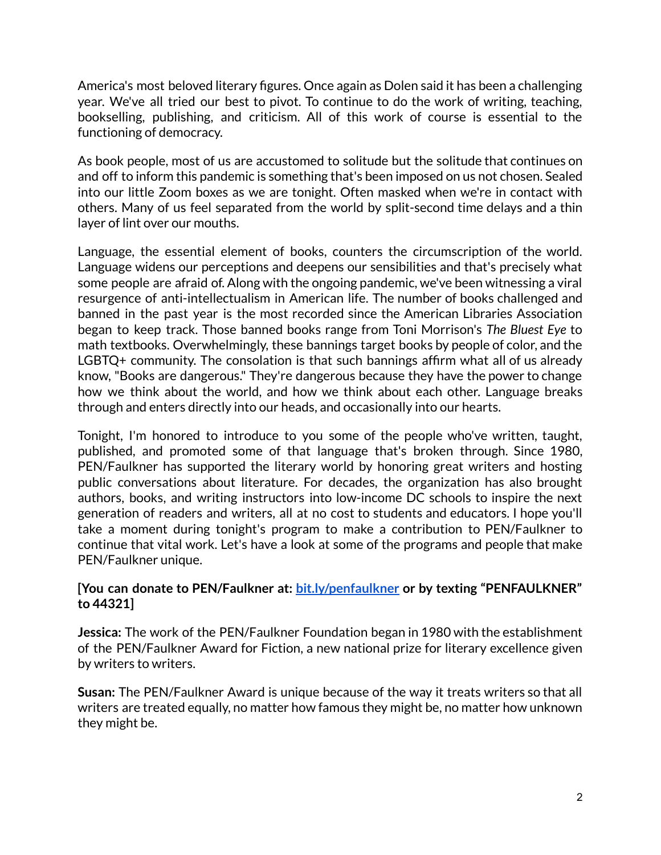America's most beloved literary figures. Once again as Dolen said it has been a challenging year. We've all tried our best to pivot. To continue to do the work of writing, teaching, bookselling, publishing, and criticism. All of this work of course is essential to the functioning of democracy.

As book people, most of us are accustomed to solitude but the solitude that continues on and off to inform this pandemic is something that's been imposed on us not chosen. Sealed into our little Zoom boxes as we are tonight. Often masked when we're in contact with others. Many of us feel separated from the world by split-second time delays and a thin layer of lint over our mouths.

Language, the essential element of books, counters the circumscription of the world. Language widens our perceptions and deepens our sensibilities and that's precisely what some people are afraid of. Along with the ongoing pandemic, we've been witnessing a viral resurgence of anti-intellectualism in American life. The number of books challenged and banned in the past year is the most recorded since the American Libraries Association began to keep track. Those banned books range from Toni Morrison's *The Bluest Eye* to math textbooks. Overwhelmingly, these bannings target books by people of color, and the LGBTQ+ community. The consolation is that such bannings affirm what all of us already know, "Books are dangerous." They're dangerous because they have the power to change how we think about the world, and how we think about each other. Language breaks through and enters directly into our heads, and occasionally into our hearts.

Tonight, I'm honored to introduce to you some of the people who've written, taught, published, and promoted some of that language that's broken through. Since 1980, PEN/Faulkner has supported the literary world by honoring great writers and hosting public conversations about literature. For decades, the organization has also brought authors, books, and writing instructors into low-income DC schools to inspire the next generation of readers and writers, all at no cost to students and educators. I hope you'll take a moment during tonight's program to make a contribution to PEN/Faulkner to continue that vital work. Let's have a look at some of the programs and people that make PEN/Faulkner unique.

## **[You can donate to PEN/Faulkner at: [bit.ly/penfaulkner](http://bit.ly/penfaulkner) or by texting "PENFAULKNER" to 44321]**

**Jessica:** The work of the PEN/Faulkner Foundation began in 1980 with the establishment of the PEN/Faulkner Award for Fiction, a new national prize for literary excellence given by writers to writers.

**Susan:** The PEN/Faulkner Award is unique because of the way it treats writers so that all writers are treated equally, no matter how famous they might be, no matter how unknown they might be.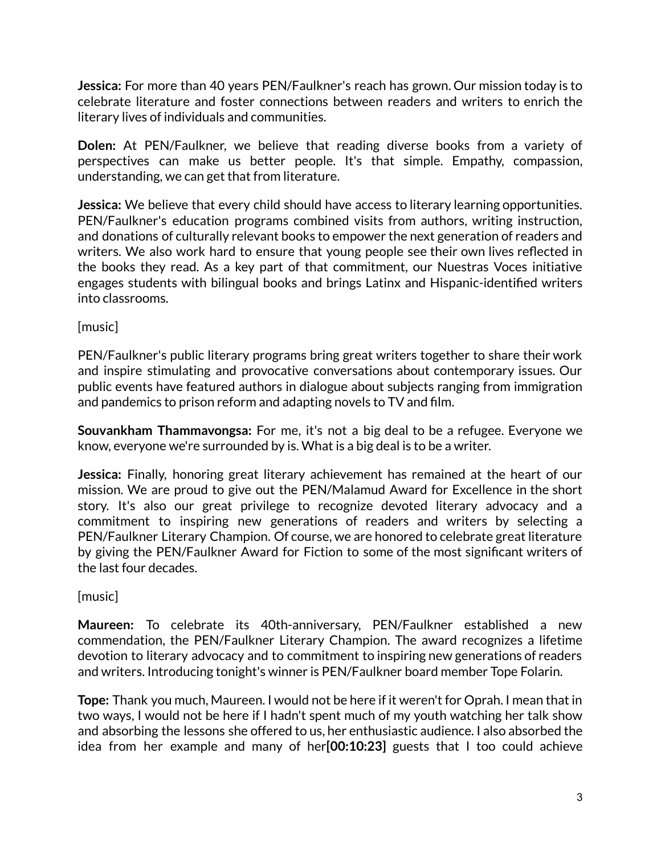**Jessica:** For more than 40 years PEN/Faulkner's reach has grown. Our mission today is to celebrate literature and foster connections between readers and writers to enrich the literary lives of individuals and communities.

**Dolen:** At PEN/Faulkner, we believe that reading diverse books from a variety of perspectives can make us better people. It's that simple. Empathy, compassion, understanding, we can get that from literature.

**Jessica:** We believe that every child should have access to literary learning opportunities. PEN/Faulkner's education programs combined visits from authors, writing instruction, and donations of culturally relevant books to empower the next generation of readers and writers. We also work hard to ensure that young people see their own lives reflected in the books they read. As a key part of that commitment, our Nuestras Voces initiative engages students with bilingual books and brings Latinx and Hispanic-identified writers into classrooms.

[music]

PEN/Faulkner's public literary programs bring great writers together to share their work and inspire stimulating and provocative conversations about contemporary issues. Our public events have featured authors in dialogue about subjects ranging from immigration and pandemics to prison reform and adapting novels to TV and film.

**Souvankham Thammavongsa:** For me, it's not a big deal to be a refugee. Everyone we know, everyone we're surrounded by is. What is a big deal is to be a writer.

**Jessica:** Finally, honoring great literary achievement has remained at the heart of our mission. We are proud to give out the PEN/Malamud Award for Excellence in the short story. It's also our great privilege to recognize devoted literary advocacy and a commitment to inspiring new generations of readers and writers by selecting a PEN/Faulkner Literary Champion. Of course, we are honored to celebrate great literature by giving the PEN/Faulkner Award for Fiction to some of the most significant writers of the last four decades.

[music]

**Maureen:** To celebrate its 40th-anniversary, PEN/Faulkner established a new commendation, the PEN/Faulkner Literary Champion. The award recognizes a lifetime devotion to literary advocacy and to commitment to inspiring new generations of readers and writers. Introducing tonight's winner is PEN/Faulkner board member Tope Folarin.

**Tope:** Thank you much, Maureen. I would not be here if it weren't for Oprah. I mean that in two ways, I would not be here if I hadn't spent much of my youth watching her talk show and absorbing the lessons she offered to us, her enthusiastic audience. I also absorbed the idea from her example and many of her**[00:10:23]** guests that I too could achieve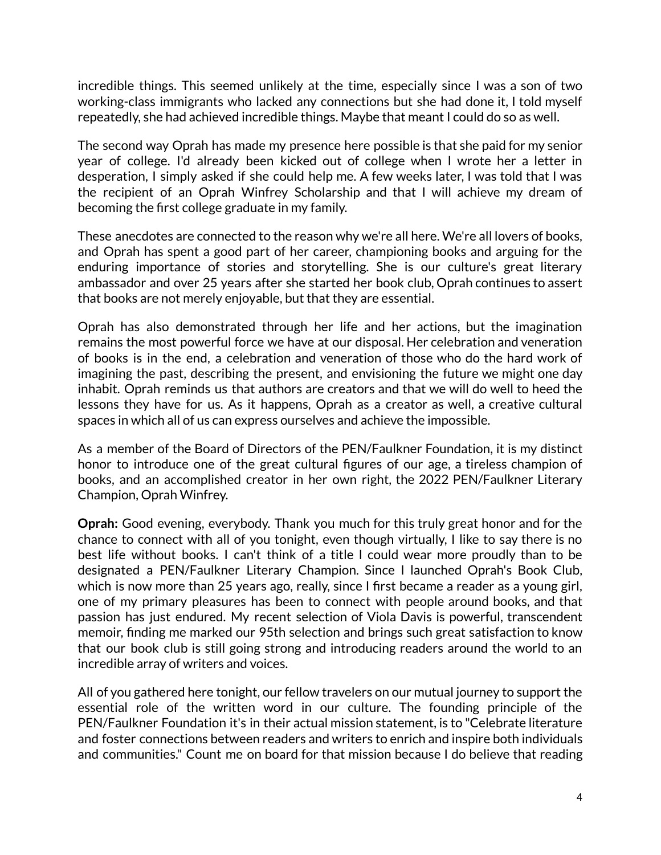incredible things. This seemed unlikely at the time, especially since I was a son of two working-class immigrants who lacked any connections but she had done it, I told myself repeatedly, she had achieved incredible things. Maybe that meant I could do so as well.

The second way Oprah has made my presence here possible is that she paid for my senior year of college. I'd already been kicked out of college when I wrote her a letter in desperation, I simply asked if she could help me. A few weeks later, I was told that I was the recipient of an Oprah Winfrey Scholarship and that I will achieve my dream of becoming the first college graduate in my family.

These anecdotes are connected to the reason why we're all here. We're all lovers of books, and Oprah has spent a good part of her career, championing books and arguing for the enduring importance of stories and storytelling. She is our culture's great literary ambassador and over 25 years after she started her book club, Oprah continues to assert that books are not merely enjoyable, but that they are essential.

Oprah has also demonstrated through her life and her actions, but the imagination remains the most powerful force we have at our disposal. Her celebration and veneration of books is in the end, a celebration and veneration of those who do the hard work of imagining the past, describing the present, and envisioning the future we might one day inhabit. Oprah reminds us that authors are creators and that we will do well to heed the lessons they have for us. As it happens, Oprah as a creator as well, a creative cultural spaces in which all of us can express ourselves and achieve the impossible.

As a member of the Board of Directors of the PEN/Faulkner Foundation, it is my distinct honor to introduce one of the great cultural figures of our age, a tireless champion of books, and an accomplished creator in her own right, the 2022 PEN/Faulkner Literary Champion, Oprah Winfrey.

**Oprah:** Good evening, everybody. Thank you much for this truly great honor and for the chance to connect with all of you tonight, even though virtually, I like to say there is no best life without books. I can't think of a title I could wear more proudly than to be designated a PEN/Faulkner Literary Champion. Since I launched Oprah's Book Club, which is now more than 25 years ago, really, since I first became a reader as a young girl, one of my primary pleasures has been to connect with people around books, and that passion has just endured. My recent selection of Viola Davis is powerful, transcendent memoir, finding me marked our 95th selection and brings such great satisfaction to know that our book club is still going strong and introducing readers around the world to an incredible array of writers and voices.

All of you gathered here tonight, our fellow travelers on our mutual journey to support the essential role of the written word in our culture. The founding principle of the PEN/Faulkner Foundation it's in their actual mission statement, is to "Celebrate literature and foster connections between readers and writers to enrich and inspire both individuals and communities." Count me on board for that mission because I do believe that reading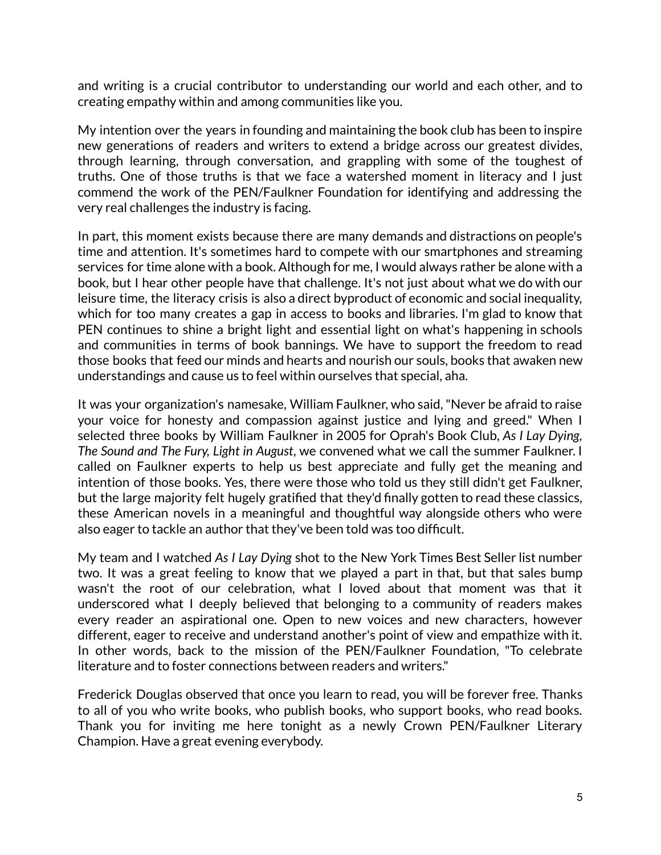and writing is a crucial contributor to understanding our world and each other, and to creating empathy within and among communities like you.

My intention over the years in founding and maintaining the book club has been to inspire new generations of readers and writers to extend a bridge across our greatest divides, through learning, through conversation, and grappling with some of the toughest of truths. One of those truths is that we face a watershed moment in literacy and I just commend the work of the PEN/Faulkner Foundation for identifying and addressing the very real challenges the industry is facing.

In part, this moment exists because there are many demands and distractions on people's time and attention. It's sometimes hard to compete with our smartphones and streaming services for time alone with a book. Although for me, I would always rather be alone with a book, but I hear other people have that challenge. It's not just about what we do with our leisure time, the literacy crisis is also a direct byproduct of economic and social inequality, which for too many creates a gap in access to books and libraries. I'm glad to know that PEN continues to shine a bright light and essential light on what's happening in schools and communities in terms of book bannings. We have to support the freedom to read those books that feed our minds and hearts and nourish our souls, books that awaken new understandings and cause us to feel within ourselves that special, aha.

It was your organization's namesake, William Faulkner, who said,"Never be afraid to raise your voice for honesty and compassion against justice and lying and greed." When I selected three books by William Faulkner in 2005 for Oprah's Book Club, *As I Lay Dying, The Sound and The Fury, Light in August*, we convened what we call the summer Faulkner. I called on Faulkner experts to help us best appreciate and fully get the meaning and intention of those books. Yes, there were those who told us they still didn't get Faulkner, but the large majority felt hugely gratified that they'd finally gotten to read these classics, these American novels in a meaningful and thoughtful way alongside others who were also eager to tackle an author that they've been told was too difficult.

My team and I watched *As I Lay Dying* shot to the New York Times Best Seller list number two. It was a great feeling to know that we played a part in that, but that sales bump wasn't the root of our celebration, what I loved about that moment was that it underscored what I deeply believed that belonging to a community of readers makes every reader an aspirational one. Open to new voices and new characters, however different, eager to receive and understand another's point of view and empathize with it. In other words, back to the mission of the PEN/Faulkner Foundation, "To celebrate literature and to foster connections between readers and writers."

Frederick Douglas observed that once you learn to read, you will be forever free. Thanks to all of you who write books, who publish books, who support books, who read books. Thank you for inviting me here tonight as a newly Crown PEN/Faulkner Literary Champion. Have a great evening everybody.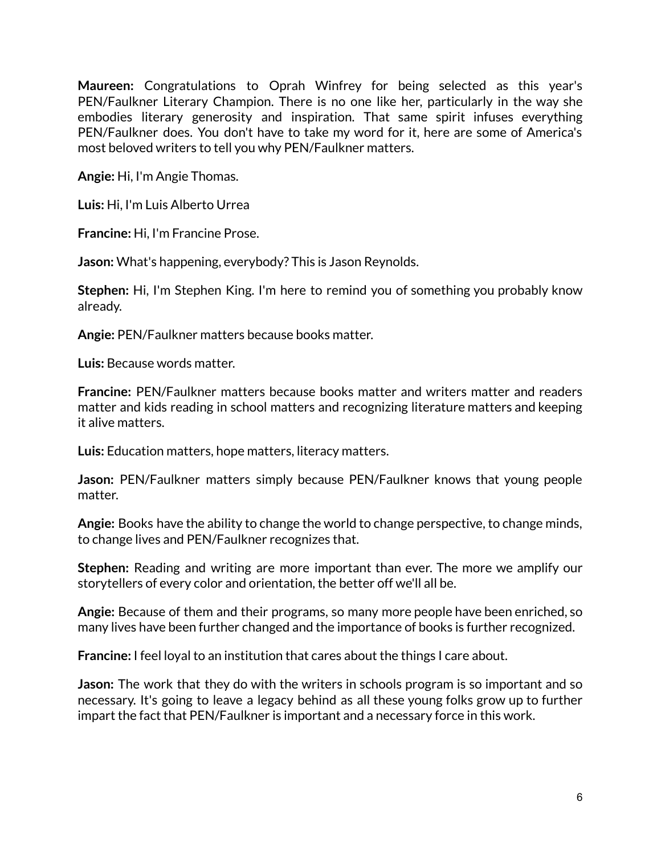**Maureen:** Congratulations to Oprah Winfrey for being selected as this year's PEN/Faulkner Literary Champion. There is no one like her, particularly in the way she embodies literary generosity and inspiration. That same spirit infuses everything PEN/Faulkner does. You don't have to take my word for it, here are some of America's most beloved writers to tell you why PEN/Faulkner matters.

**Angie:** Hi, I'm Angie Thomas.

**Luis:** Hi, I'm Luis Alberto Urrea

**Francine:** Hi, I'm Francine Prose.

**Jason:** What's happening, everybody? This is Jason Reynolds.

**Stephen:** Hi, I'm Stephen King. I'm here to remind you of something you probably know already.

**Angie:** PEN/Faulkner matters because books matter.

**Luis:** Because words matter.

**Francine:** PEN/Faulkner matters because books matter and writers matter and readers matter and kids reading in school matters and recognizing literature matters and keeping it alive matters.

**Luis:** Education matters, hope matters, literacy matters.

**Jason:** PEN/Faulkner matters simply because PEN/Faulkner knows that young people matter.

**Angie:** Books have the ability to change the world to change perspective, to change minds, to change lives and PEN/Faulkner recognizes that.

**Stephen:** Reading and writing are more important than ever. The more we amplify our storytellers of every color and orientation, the better off we'll all be.

**Angie:** Because of them and their programs, so many more people have been enriched, so many lives have been further changed and the importance of books is further recognized.

**Francine:** I feel loyal to an institution that cares about the things I care about.

**Jason:** The work that they do with the writers in schools program is so important and so necessary. It's going to leave a legacy behind as all these young folks grow up to further impart the fact that PEN/Faulkner is important and a necessary force in this work.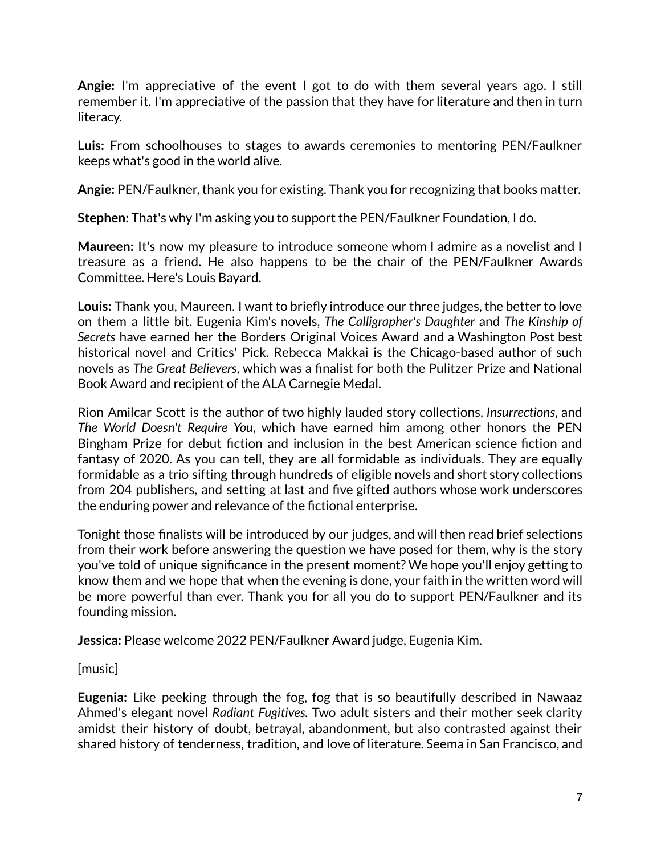**Angie:** I'm appreciative of the event I got to do with them several years ago. I still remember it. I'm appreciative of the passion that they have for literature and then in turn literacy.

**Luis:** From schoolhouses to stages to awards ceremonies to mentoring PEN/Faulkner keeps what's good in the world alive.

**Angie:** PEN/Faulkner, thank you for existing. Thank you for recognizing that books matter.

**Stephen:** That's why I'm asking you to support the PEN/Faulkner Foundation, I do.

**Maureen:** It's now my pleasure to introduce someone whom I admire as a novelist and I treasure as a friend. He also happens to be the chair of the PEN/Faulkner Awards Committee. Here's Louis Bayard.

**Louis:** Thank you, Maureen. I want to briefly introduce our three judges, the better to love on them a little bit. Eugenia Kim's novels, *The Calligrapher's Daughter* and *The Kinship of Secrets* have earned her the Borders Original Voices Award and a Washington Post best historical novel and Critics' Pick. Rebecca Makkai is the Chicago-based author of such novels as *The Great Believers*, which was a finalist for both the Pulitzer Prize and National Book Award and recipient of the ALA Carnegie Medal.

Rion Amilcar Scott is the author of two highly lauded story collections, *Insurrections*, and *The World Doesn't Require You*, which have earned him among other honors the PEN Bingham Prize for debut fiction and inclusion in the best American science fiction and fantasy of 2020. As you can tell, they are all formidable as individuals. They are equally formidable as a trio sifting through hundreds of eligible novels and short story collections from 204 publishers, and setting at last and five gifted authors whose work underscores the enduring power and relevance of the fictional enterprise.

Tonight those finalists will be introduced by our judges, and will then read brief selections from their work before answering the question we have posed for them, why is the story you've told of unique significance in the present moment? We hope you'll enjoy getting to know them and we hope that when the evening is done, your faith in the written word will be more powerful than ever. Thank you for all you do to support PEN/Faulkner and its founding mission.

**Jessica:** Please welcome 2022 PEN/Faulkner Award judge, Eugenia Kim.

[music]

**Eugenia:** Like peeking through the fog, fog that is so beautifully described in Nawaaz Ahmed's elegant novel *Radiant Fugitives.* Two adult sisters and their mother seek clarity amidst their history of doubt, betrayal, abandonment, but also contrasted against their shared history of tenderness, tradition, and love of literature. Seema in San Francisco, and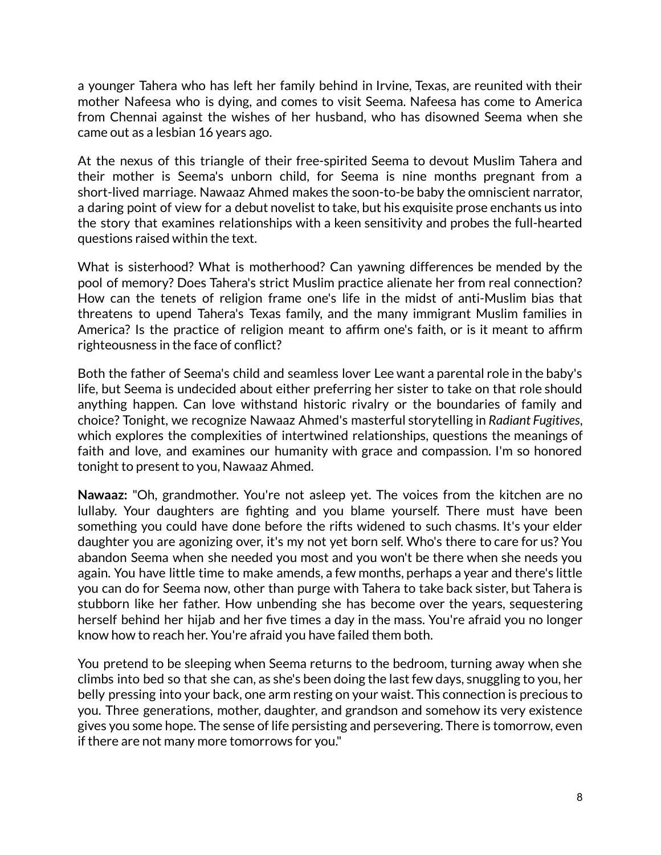a younger Tahera who has left her family behind in Irvine, Texas, are reunited with their mother Nafeesa who is dying, and comes to visit Seema. Nafeesa has come to America from Chennai against the wishes of her husband, who has disowned Seema when she came out as a lesbian 16 years ago.

At the nexus of this triangle of their free-spirited Seema to devout Muslim Tahera and their mother is Seema's unborn child, for Seema is nine months pregnant from a short-lived marriage. Nawaaz Ahmed makes the soon-to-be baby the omniscient narrator, a daring point of view for a debut novelist to take, but his exquisite prose enchants us into the story that examines relationships with a keen sensitivity and probes the full-hearted questions raised within the text.

What is sisterhood? What is motherhood? Can yawning differences be mended by the pool of memory? Does Tahera's strict Muslim practice alienate her from real connection? How can the tenets of religion frame one's life in the midst of anti-Muslim bias that threatens to upend Tahera's Texas family, and the many immigrant Muslim families in America? Is the practice of religion meant to affirm one's faith, or is it meant to affirm righteousness in the face of conflict?

Both the father of Seema's child and seamless lover Lee want a parental role in the baby's life, but Seema is undecided about either preferring her sister to take on that role should anything happen. Can love withstand historic rivalry or the boundaries of family and choice? Tonight, we recognize Nawaaz Ahmed's masterful storytelling in *Radiant Fugitives*, which explores the complexities of intertwined relationships, questions the meanings of faith and love, and examines our humanity with grace and compassion. I'm so honored tonight to present to you, Nawaaz Ahmed.

**Nawaaz:** "Oh, grandmother. You're not asleep yet. The voices from the kitchen are no lullaby. Your daughters are fighting and you blame yourself. There must have been something you could have done before the rifts widened to such chasms. It's your elder daughter you are agonizing over, it's my not yet born self. Who's there to care for us? You abandon Seema when she needed you most and you won't be there when she needs you again. You have little time to make amends, a few months, perhaps a year and there's little you can do for Seema now, other than purge with Tahera to take back sister, but Tahera is stubborn like her father. How unbending she has become over the years, sequestering herself behind her hijab and her five times a day in the mass. You're afraid you no longer know how to reach her. You're afraid you have failed them both.

You pretend to be sleeping when Seema returns to the bedroom, turning away when she climbs into bed so that she can, as she's been doing the last few days, snuggling to you, her belly pressing into your back, one arm resting on your waist. This connection is precious to you. Three generations, mother, daughter, and grandson and somehow its very existence gives you some hope. The sense of life persisting and persevering. There is tomorrow, even if there are not many more tomorrows for you."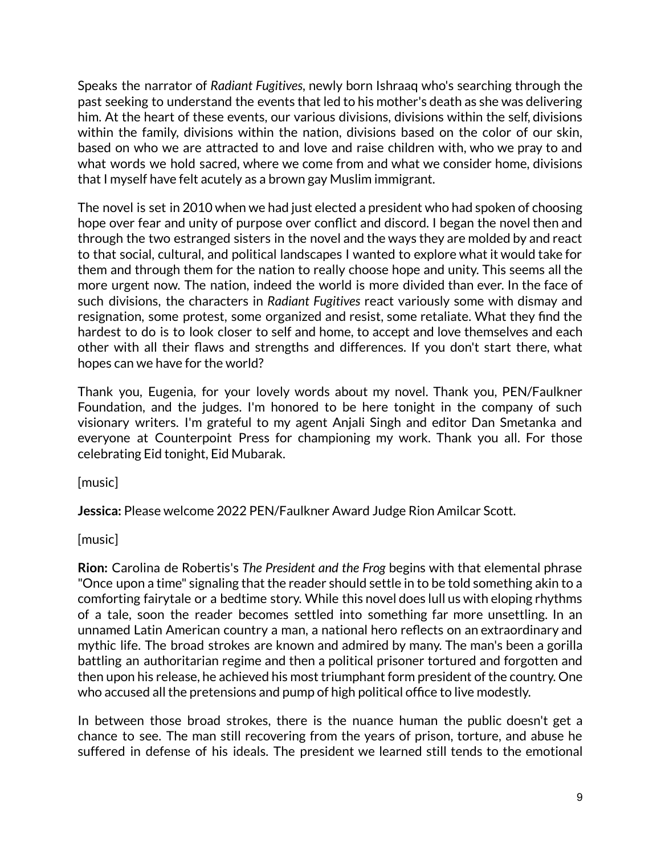Speaks the narrator of *Radiant Fugitives*, newly born Ishraaq who's searching through the past seeking to understand the events that led to his mother's death as she was delivering him. At the heart of these events, our various divisions, divisions within the self, divisions within the family, divisions within the nation, divisions based on the color of our skin, based on who we are attracted to and love and raise children with, who we pray to and what words we hold sacred, where we come from and what we consider home, divisions that I myself have felt acutely as a brown gay Muslim immigrant.

The novel is set in 2010 when we had just elected a president who had spoken of choosing hope over fear and unity of purpose over conflict and discord. I began the novel then and through the two estranged sisters in the novel and the ways they are molded by and react to that social, cultural, and political landscapes I wanted to explore what it would take for them and through them for the nation to really choose hope and unity. This seems all the more urgent now. The nation, indeed the world is more divided than ever. In the face of such divisions, the characters in *Radiant Fugitives* react variously some with dismay and resignation, some protest, some organized and resist, some retaliate. What they find the hardest to do is to look closer to self and home, to accept and love themselves and each other with all their flaws and strengths and differences. If you don't start there, what hopes can we have for the world?

Thank you, Eugenia, for your lovely words about my novel. Thank you, PEN/Faulkner Foundation, and the judges. I'm honored to be here tonight in the company of such visionary writers. I'm grateful to my agent Anjali Singh and editor Dan Smetanka and everyone at Counterpoint Press for championing my work. Thank you all. For those celebrating Eid tonight, Eid Mubarak.

[music]

**Jessica:** Please welcome 2022 PEN/Faulkner Award Judge Rion Amilcar Scott.

[music]

**Rion:** Carolina de Robertis's *The President and the Frog* begins with that elemental phrase "Once upon a time" signaling that the reader should settle in to be told something akin to a comforting fairytale or a bedtime story. While this novel does lull us with eloping rhythms of a tale, soon the reader becomes settled into something far more unsettling. In an unnamed Latin American country a man, a national hero reflects on an extraordinary and mythic life. The broad strokes are known and admired by many. The man's been a gorilla battling an authoritarian regime and then a political prisoner tortured and forgotten and then upon his release, he achieved his most triumphant form president of the country. One who accused all the pretensions and pump of high political office to live modestly.

In between those broad strokes, there is the nuance human the public doesn't get a chance to see. The man still recovering from the years of prison, torture, and abuse he suffered in defense of his ideals. The president we learned still tends to the emotional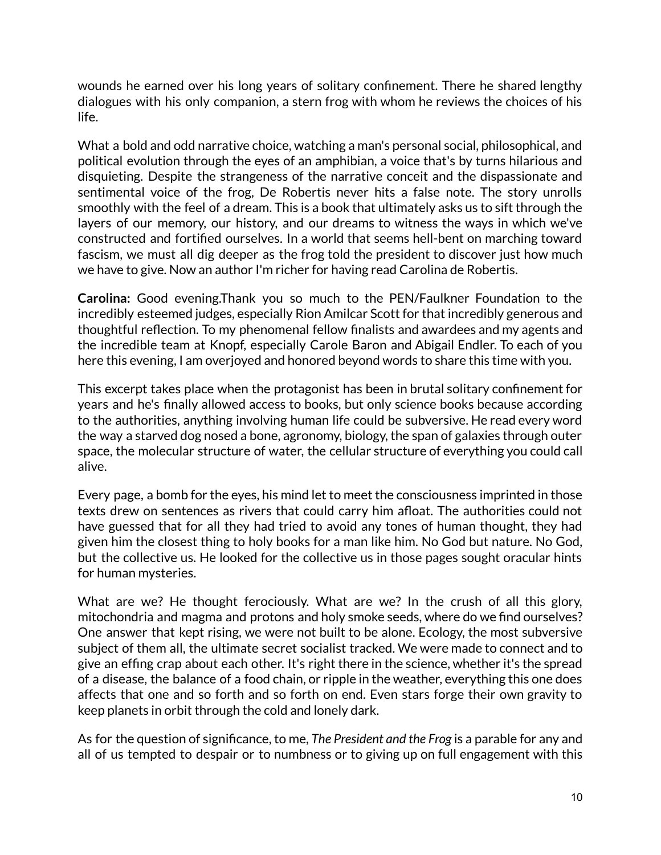wounds he earned over his long years of solitary confinement. There he shared lengthy dialogues with his only companion, a stern frog with whom he reviews the choices of his life.

What a bold and odd narrative choice, watching a man's personal social, philosophical, and political evolution through the eyes of an amphibian, a voice that's by turns hilarious and disquieting. Despite the strangeness of the narrative conceit and the dispassionate and sentimental voice of the frog, De Robertis never hits a false note. The story unrolls smoothly with the feel of a dream. This is a book that ultimately asks us to sift through the layers of our memory, our history, and our dreams to witness the ways in which we've constructed and fortified ourselves. In a world that seems hell-bent on marching toward fascism, we must all dig deeper as the frog told the president to discover just how much we have to give. Now an author I'm richer for having read Carolina de Robertis.

**Carolina:** Good evening.Thank you so much to the PEN/Faulkner Foundation to the incredibly esteemed judges, especially Rion Amilcar Scott for that incredibly generous and thoughtful reflection. To my phenomenal fellow finalists and awardees and my agents and the incredible team at Knopf, especially Carole Baron and Abigail Endler. To each of you here this evening, I am overjoyed and honored beyond words to share this time with you.

This excerpt takes place when the protagonist has been in brutal solitary confinement for years and he's finally allowed access to books, but only science books because according to the authorities, anything involving human life could be subversive. He read every word the way a starved dog nosed a bone, agronomy, biology, the span of galaxies through outer space, the molecular structure of water, the cellular structure of everything you could call alive.

Every page, a bomb for the eyes, his mind let to meet the consciousness imprinted in those texts drew on sentences as rivers that could carry him afloat. The authorities could not have guessed that for all they had tried to avoid any tones of human thought, they had given him the closest thing to holy books for a man like him. No God but nature. No God, but the collective us. He looked for the collective us in those pages sought oracular hints for human mysteries.

What are we? He thought ferociously. What are we? In the crush of all this glory, mitochondria and magma and protons and holy smoke seeds, where do we find ourselves? One answer that kept rising, we were not built to be alone. Ecology, the most subversive subject of them all, the ultimate secret socialist tracked. We were made to connect and to give an effing crap about each other. It's right there in the science, whether it's the spread of a disease, the balance of a food chain, or ripple in the weather, everything this one does affects that one and so forth and so forth on end. Even stars forge their own gravity to keep planets in orbit through the cold and lonely dark.

As for the question of significance, to me, *The President and the Frog* is a parable for any and all of us tempted to despair or to numbness or to giving up on full engagement with this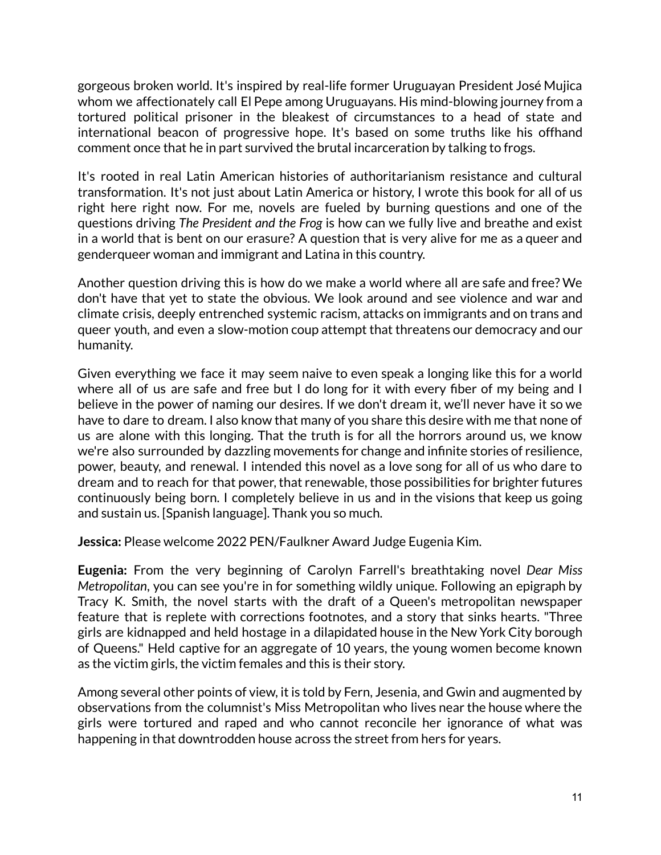gorgeous broken world. It's inspired by real-life former Uruguayan President José Mujica whom we affectionately call El Pepe among Uruguayans. His mind-blowing journey from a tortured political prisoner in the bleakest of circumstances to a head of state and international beacon of progressive hope. It's based on some truths like his offhand comment once that he in part survived the brutal incarceration by talking to frogs.

It's rooted in real Latin American histories of authoritarianism resistance and cultural transformation. It's not just about Latin America or history, I wrote this book for all of us right here right now. For me, novels are fueled by burning questions and one of the questions driving *The President and the Frog* is how can we fully live and breathe and exist in a world that is bent on our erasure? A question that is very alive for me as a queer and genderqueer woman and immigrant and Latina in this country.

Another question driving this is how do we make a world where all are safe and free? We don't have that yet to state the obvious. We look around and see violence and war and climate crisis, deeply entrenched systemic racism, attacks on immigrants and on trans and queer youth, and even a slow-motion coup attempt that threatens our democracy and our humanity.

Given everything we face it may seem naive to even speak a longing like this for a world where all of us are safe and free but I do long for it with every fiber of my being and I believe in the power of naming our desires. If we don't dream it, we'll never have it so we have to dare to dream. I also know that many of you share this desire with me that none of us are alone with this longing. That the truth is for all the horrors around us, we know we're also surrounded by dazzling movements for change and infinite stories of resilience, power, beauty, and renewal. I intended this novel as a love song for all of us who dare to dream and to reach for that power, that renewable, those possibilities for brighter futures continuously being born. I completely believe in us and in the visions that keep us going and sustain us. [Spanish language]. Thank you so much.

**Jessica:** Please welcome 2022 PEN/Faulkner Award Judge Eugenia Kim.

**Eugenia:** From the very beginning of Carolyn Farrell's breathtaking novel *Dear Miss Metropolitan*, you can see you're in for something wildly unique. Following an epigraph by Tracy K. Smith, the novel starts with the draft of a Queen's metropolitan newspaper feature that is replete with corrections footnotes, and a story that sinks hearts. "Three girls are kidnapped and held hostage in a dilapidated house in the New York City borough of Queens." Held captive for an aggregate of 10 years, the young women become known as the victim girls, the victim females and this is their story.

Among several other points of view, it is told by Fern, Jesenia, and Gwin and augmented by observations from the columnist's Miss Metropolitan who lives near the house where the girls were tortured and raped and who cannot reconcile her ignorance of what was happening in that downtrodden house across the street from hers for years.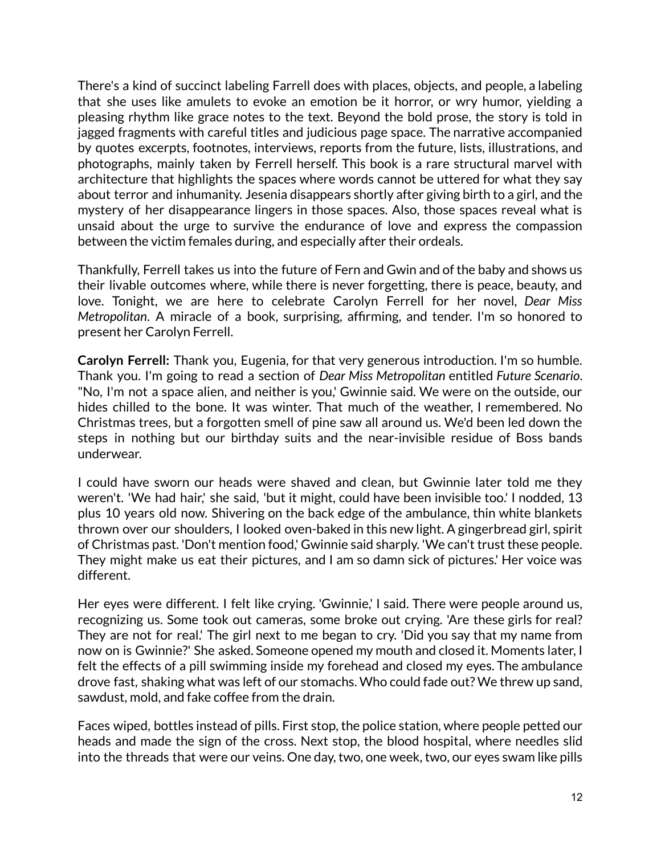There's a kind of succinct labeling Farrell does with places, objects, and people, a labeling that she uses like amulets to evoke an emotion be it horror, or wry humor, yielding a pleasing rhythm like grace notes to the text. Beyond the bold prose, the story is told in jagged fragments with careful titles and judicious page space. The narrative accompanied by quotes excerpts, footnotes, interviews, reports from the future, lists, illustrations, and photographs, mainly taken by Ferrell herself. This book is a rare structural marvel with architecture that highlights the spaces where words cannot be uttered for what they say about terror and inhumanity. Jesenia disappears shortly after giving birth to a girl, and the mystery of her disappearance lingers in those spaces. Also, those spaces reveal what is unsaid about the urge to survive the endurance of love and express the compassion between the victim females during, and especially after their ordeals.

Thankfully, Ferrell takes us into the future of Fern and Gwin and of the baby and shows us their livable outcomes where, while there is never forgetting, there is peace, beauty, and love. Tonight, we are here to celebrate Carolyn Ferrell for her novel, *Dear Miss Metropolitan*. A miracle of a book, surprising, affirming, and tender. I'm so honored to present her Carolyn Ferrell.

**Carolyn Ferrell:** Thank you, Eugenia, for that very generous introduction. I'm so humble. Thank you. I'm going to read a section of *Dear Miss Metropolitan* entitled *Future Scenario*. "No, I'm not a space alien, and neither is you,' Gwinnie said. We were on the outside, our hides chilled to the bone. It was winter. That much of the weather, I remembered. No Christmas trees, but a forgotten smell of pine saw all around us. We'd been led down the steps in nothing but our birthday suits and the near-invisible residue of Boss bands underwear.

I could have sworn our heads were shaved and clean, but Gwinnie later told me they weren't. 'We had hair,' she said, 'but it might, could have been invisible too.' I nodded, 13 plus 10 years old now. Shivering on the back edge of the ambulance, thin white blankets thrown over our shoulders, I looked oven-baked in this new light. A gingerbread girl, spirit of Christmas past. 'Don't mention food,' Gwinnie said sharply. 'We can't trust these people. They might make us eat their pictures, and I am so damn sick of pictures.' Her voice was different.

Her eyes were different. I felt like crying. 'Gwinnie,' I said. There were people around us, recognizing us. Some took out cameras, some broke out crying. 'Are these girls for real? They are not for real.' The girl next to me began to cry. 'Did you say that my name from now on is Gwinnie?' She asked. Someone opened my mouth and closed it. Moments later, I felt the effects of a pill swimming inside my forehead and closed my eyes. The ambulance drove fast, shaking what was left of our stomachs. Who could fade out? We threw up sand, sawdust, mold, and fake coffee from the drain.

Faces wiped, bottles instead of pills. First stop, the police station, where people petted our heads and made the sign of the cross. Next stop, the blood hospital, where needles slid into the threads that were our veins. One day, two, one week, two, our eyes swam like pills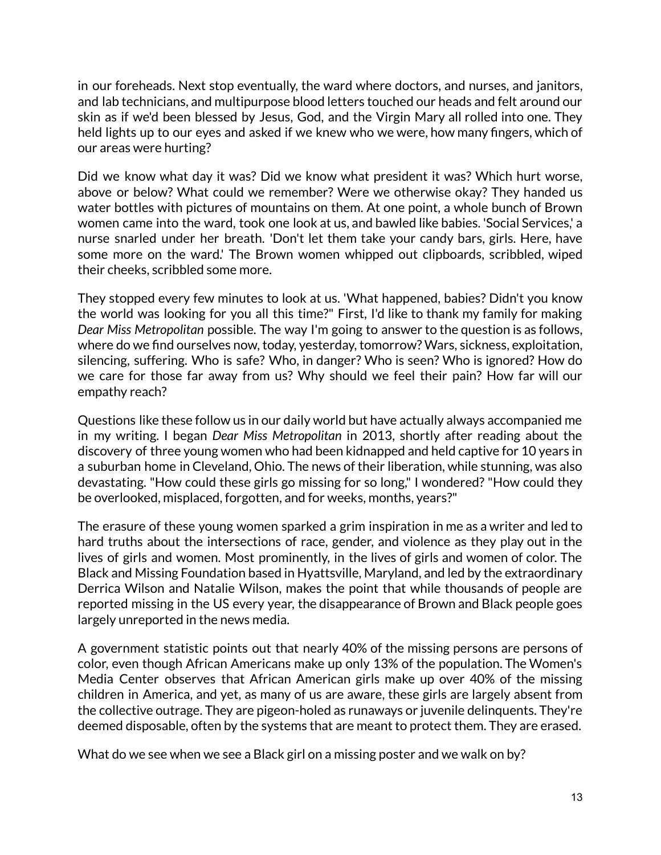in our foreheads. Next stop eventually, the ward where doctors, and nurses, and janitors, and lab technicians, and multipurpose blood letters touched our heads and felt around our skin as if we'd been blessed by Jesus, God, and the Virgin Mary all rolled into one. They held lights up to our eyes and asked if we knew who we were, how many fingers, which of our areas were hurting?

Did we know what day it was? Did we know what president it was? Which hurt worse, above or below? What could we remember? Were we otherwise okay? They handed us water bottles with pictures of mountains on them. At one point, a whole bunch of Brown women came into the ward, took one look at us, and bawled like babies. 'Social Services,' a nurse snarled under her breath. 'Don't let them take your candy bars, girls. Here, have some more on the ward.' The Brown women whipped out clipboards, scribbled, wiped their cheeks, scribbled some more.

They stopped every few minutes to look at us. 'What happened, babies? Didn't you know the world was looking for you all this time?" First, I'd like to thank my family for making *Dear Miss Metropolitan* possible. The way I'm going to answer to the question is as follows, where do we find ourselves now, today, yesterday, tomorrow? Wars, sickness, exploitation, silencing, suffering. Who is safe? Who, in danger? Who is seen? Who is ignored? How do we care for those far away from us? Why should we feel their pain? How far will our empathy reach?

Questions like these follow us in our daily world but have actually always accompanied me in my writing. I began *Dear Miss Metropolitan* in 2013, shortly after reading about the discovery of three young women who had been kidnapped and held captive for 10 years in a suburban home in Cleveland, Ohio. The news of their liberation, while stunning, was also devastating. "How could these girls go missing for so long," I wondered? "How could they be overlooked, misplaced, forgotten, and for weeks, months, years?"

The erasure of these young women sparked a grim inspiration in me as a writer and led to hard truths about the intersections of race, gender, and violence as they play out in the lives of girls and women. Most prominently, in the lives of girls and women of color. The Black and Missing Foundation based in Hyattsville, Maryland, and led by the extraordinary Derrica Wilson and Natalie Wilson, makes the point that while thousands of people are reported missing in the US every year, the disappearance of Brown and Black people goes largely unreported in the news media.

A government statistic points out that nearly 40% of the missing persons are persons of color, even though African Americans make up only 13% of the population. The Women's Media Center observes that African American girls make up over 40% of the missing children in America, and yet, as many of us are aware, these girls are largely absent from the collective outrage. They are pigeon-holed as runaways or juvenile delinquents. They're deemed disposable, often by the systems that are meant to protect them. They are erased.

What do we see when we see a Black girl on a missing poster and we walk on by?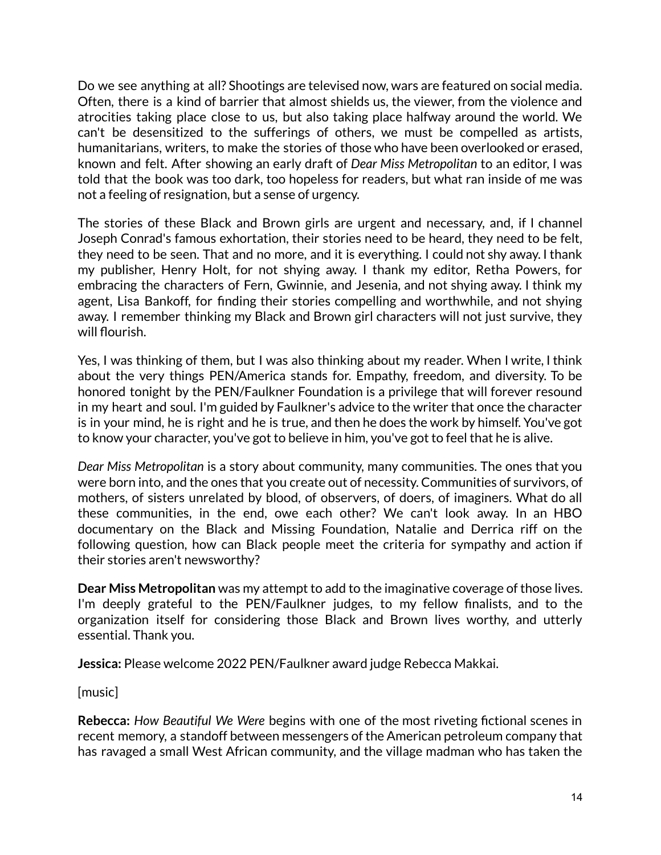Do we see anything at all? Shootings are televised now, wars are featured on social media. Often, there is a kind of barrier that almost shields us, the viewer, from the violence and atrocities taking place close to us, but also taking place halfway around the world. We can't be desensitized to the sufferings of others, we must be compelled as artists, humanitarians, writers, to make the stories of those who have been overlooked or erased, known and felt. After showing an early draft of *Dear Miss Metropolitan* to an editor, I was told that the book was too dark, too hopeless for readers, but what ran inside of me was not a feeling of resignation, but a sense of urgency.

The stories of these Black and Brown girls are urgent and necessary, and, if I channel Joseph Conrad's famous exhortation, their stories need to be heard, they need to be felt, they need to be seen. That and no more, and it is everything. I could not shy away. I thank my publisher, Henry Holt, for not shying away. I thank my editor, Retha Powers, for embracing the characters of Fern, Gwinnie, and Jesenia, and not shying away. I think my agent, Lisa Bankoff, for finding their stories compelling and worthwhile, and not shying away. I remember thinking my Black and Brown girl characters will not just survive, they will flourish.

Yes, I was thinking of them, but I was also thinking about my reader. When I write, I think about the very things PEN/America stands for. Empathy, freedom, and diversity. To be honored tonight by the PEN/Faulkner Foundation is a privilege that will forever resound in my heart and soul. I'm guided by Faulkner's advice to the writer that once the character is in your mind, he is right and he is true, and then he does the work by himself. You've got to know your character, you've got to believe in him, you've got to feel that he is alive.

*Dear Miss Metropolitan* is a story about community, many communities. The ones that you were born into, and the ones that you create out of necessity. Communities of survivors, of mothers, of sisters unrelated by blood, of observers, of doers, of imaginers. What do all these communities, in the end, owe each other? We can't look away. In an HBO documentary on the Black and Missing Foundation, Natalie and Derrica riff on the following question, how can Black people meet the criteria for sympathy and action if their stories aren't newsworthy?

**Dear Miss Metropolitan** was my attempt to add to the imaginative coverage of those lives. I'm deeply grateful to the PEN/Faulkner judges, to my fellow finalists, and to the organization itself for considering those Black and Brown lives worthy, and utterly essential. Thank you.

**Jessica:** Please welcome 2022 PEN/Faulkner award judge Rebecca Makkai.

[music]

**Rebecca:** *How Beautiful We Were* begins with one of the most riveting fictional scenes in recent memory, a standoff between messengers of the American petroleum company that has ravaged a small West African community, and the village madman who has taken the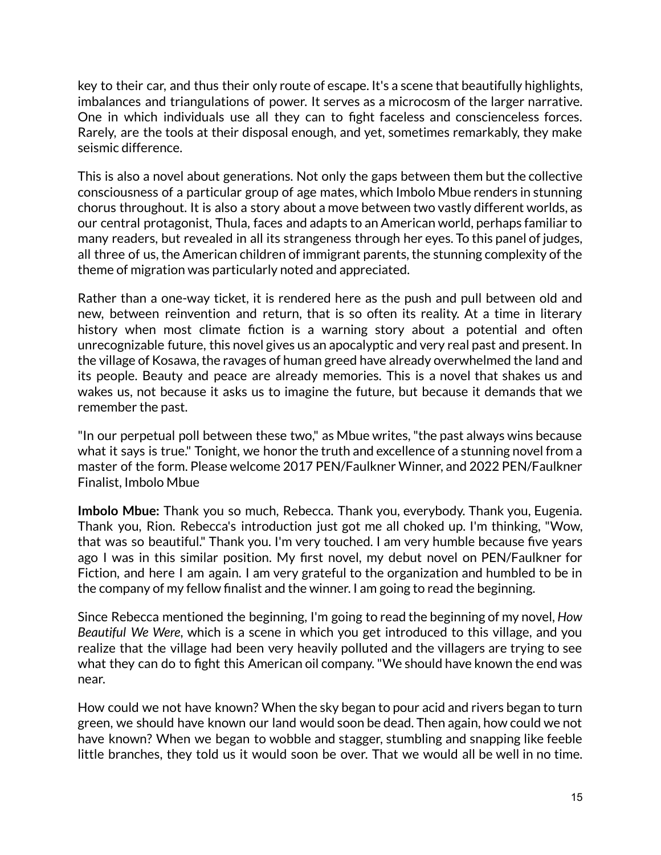key to their car, and thus their only route of escape. It's a scene that beautifully highlights, imbalances and triangulations of power. It serves as a microcosm of the larger narrative. One in which individuals use all they can to fight faceless and conscienceless forces. Rarely, are the tools at their disposal enough, and yet, sometimes remarkably, they make seismic difference.

This is also a novel about generations. Not only the gaps between them but the collective consciousness of a particular group of age mates, which Imbolo Mbue renders in stunning chorus throughout. It is also a story about a move between two vastly different worlds, as our central protagonist, Thula, faces and adapts to an American world, perhaps familiar to many readers, but revealed in all its strangeness through her eyes. To this panel of judges, all three of us, the American children of immigrant parents, the stunning complexity of the theme of migration was particularly noted and appreciated.

Rather than a one-way ticket, it is rendered here as the push and pull between old and new, between reinvention and return, that is so often its reality. At a time in literary history when most climate fiction is a warning story about a potential and often unrecognizable future, this novel gives us an apocalyptic and very real past and present. In the village of Kosawa, the ravages of human greed have already overwhelmed the land and its people. Beauty and peace are already memories. This is a novel that shakes us and wakes us, not because it asks us to imagine the future, but because it demands that we remember the past.

"In our perpetual poll between these two," as Mbue writes,"the past always wins because what it says is true." Tonight, we honor the truth and excellence of a stunning novel from a master of the form. Please welcome 2017 PEN/Faulkner Winner, and 2022 PEN/Faulkner Finalist, Imbolo Mbue

**Imbolo Mbue:** Thank you so much, Rebecca. Thank you, everybody. Thank you, Eugenia. Thank you, Rion. Rebecca's introduction just got me all choked up. I'm thinking, "Wow, that was so beautiful." Thank you. I'm very touched. I am very humble because five years ago I was in this similar position. My first novel, my debut novel on PEN/Faulkner for Fiction, and here I am again. I am very grateful to the organization and humbled to be in the company of my fellow finalist and the winner. I am going to read the beginning.

Since Rebecca mentioned the beginning, I'm going to read the beginning of my novel, *How Beautiful We Were*, which is a scene in which you get introduced to this village, and you realize that the village had been very heavily polluted and the villagers are trying to see what they can do to fight this American oil company."We should have known the end was near.

How could we not have known? When the sky began to pour acid and rivers began to turn green, we should have known our land would soon be dead. Then again, how could we not have known? When we began to wobble and stagger, stumbling and snapping like feeble little branches, they told us it would soon be over. That we would all be well in no time.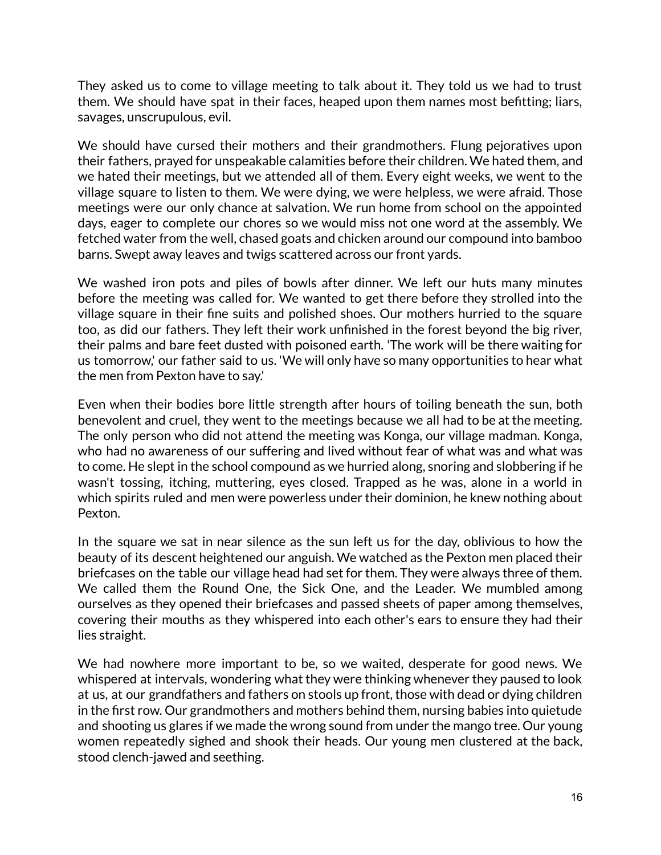They asked us to come to village meeting to talk about it. They told us we had to trust them. We should have spat in their faces, heaped upon them names most befitting; liars, savages, unscrupulous, evil.

We should have cursed their mothers and their grandmothers. Flung pejoratives upon their fathers, prayed for unspeakable calamities before their children. We hated them, and we hated their meetings, but we attended all of them. Every eight weeks, we went to the village square to listen to them. We were dying, we were helpless, we were afraid. Those meetings were our only chance at salvation. We run home from school on the appointed days, eager to complete our chores so we would miss not one word at the assembly. We fetched water from the well, chased goats and chicken around our compound into bamboo barns. Swept away leaves and twigs scattered across our front yards.

We washed iron pots and piles of bowls after dinner. We left our huts many minutes before the meeting was called for. We wanted to get there before they strolled into the village square in their fine suits and polished shoes. Our mothers hurried to the square too, as did our fathers. They left their work unfinished in the forest beyond the big river, their palms and bare feet dusted with poisoned earth. 'The work will be there waiting for us tomorrow,' our father said to us. 'We will only have so many opportunities to hear what the men from Pexton have to say.'

Even when their bodies bore little strength after hours of toiling beneath the sun, both benevolent and cruel, they went to the meetings because we all had to be at the meeting. The only person who did not attend the meeting was Konga, our village madman. Konga, who had no awareness of our suffering and lived without fear of what was and what was to come. He slept in the school compound as we hurried along, snoring and slobbering if he wasn't tossing, itching, muttering, eyes closed. Trapped as he was, alone in a world in which spirits ruled and men were powerless under their dominion, he knew nothing about Pexton.

In the square we sat in near silence as the sun left us for the day, oblivious to how the beauty of its descent heightened our anguish. We watched as the Pexton men placed their briefcases on the table our village head had set for them. They were always three of them. We called them the Round One, the Sick One, and the Leader. We mumbled among ourselves as they opened their briefcases and passed sheets of paper among themselves, covering their mouths as they whispered into each other's ears to ensure they had their lies straight.

We had nowhere more important to be, so we waited, desperate for good news. We whispered at intervals, wondering what they were thinking whenever they paused to look at us, at our grandfathers and fathers on stools up front, those with dead or dying children in the first row. Our grandmothers and mothers behind them, nursing babies into quietude and shooting us glares if we made the wrong sound from under the mango tree. Our young women repeatedly sighed and shook their heads. Our young men clustered at the back, stood clench-jawed and seething.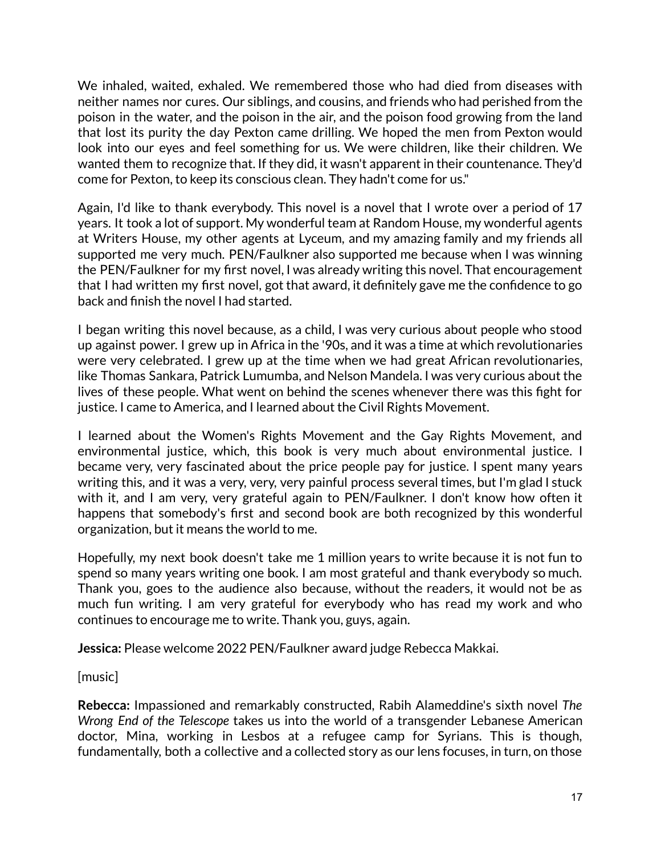We inhaled, waited, exhaled. We remembered those who had died from diseases with neither names nor cures. Our siblings, and cousins, and friends who had perished from the poison in the water, and the poison in the air, and the poison food growing from the land that lost its purity the day Pexton came drilling. We hoped the men from Pexton would look into our eyes and feel something for us. We were children, like their children. We wanted them to recognize that. If they did, it wasn't apparent in their countenance. They'd come for Pexton, to keep its conscious clean. They hadn't come for us."

Again, I'd like to thank everybody. This novel is a novel that I wrote over a period of 17 years. It took a lot of support. My wonderful team at Random House, my wonderful agents at Writers House, my other agents at Lyceum, and my amazing family and my friends all supported me very much. PEN/Faulkner also supported me because when I was winning the PEN/Faulkner for my first novel, I was already writing this novel. That encouragement that I had written my first novel, got that award, it definitely gave me the confidence to go back and finish the novel I had started.

I began writing this novel because, as a child, I was very curious about people who stood up against power. I grew up in Africa in the '90s, and it was a time at which revolutionaries were very celebrated. I grew up at the time when we had great African revolutionaries, like Thomas Sankara, Patrick Lumumba, and Nelson Mandela. I was very curious about the lives of these people. What went on behind the scenes whenever there was this fight for justice. I came to America, and I learned about the Civil Rights Movement.

I learned about the Women's Rights Movement and the Gay Rights Movement, and environmental justice, which, this book is very much about environmental justice. I became very, very fascinated about the price people pay for justice. I spent many years writing this, and it was a very, very, very painful process several times, but I'm glad I stuck with it, and I am very, very grateful again to PEN/Faulkner. I don't know how often it happens that somebody's first and second book are both recognized by this wonderful organization, but it means the world to me.

Hopefully, my next book doesn't take me 1 million years to write because it is not fun to spend so many years writing one book. I am most grateful and thank everybody so much. Thank you, goes to the audience also because, without the readers, it would not be as much fun writing. I am very grateful for everybody who has read my work and who continues to encourage me to write. Thank you, guys, again.

**Jessica:** Please welcome 2022 PEN/Faulkner award judge Rebecca Makkai.

[music]

**Rebecca:** Impassioned and remarkably constructed, Rabih Alameddine's sixth novel *The Wrong End of the Telescope* takes us into the world of a transgender Lebanese American doctor, Mina, working in Lesbos at a refugee camp for Syrians. This is though, fundamentally, both a collective and a collected story as our lens focuses, in turn, on those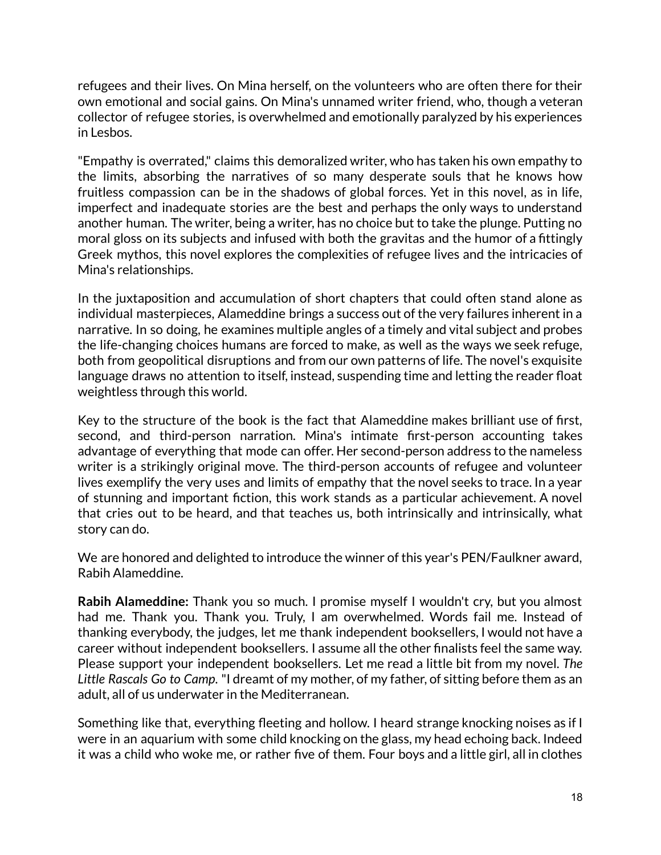refugees and their lives. On Mina herself, on the volunteers who are often there for their own emotional and social gains. On Mina's unnamed writer friend, who, though a veteran collector of refugee stories, is overwhelmed and emotionally paralyzed by his experiences in Lesbos.

"Empathy is overrated," claims this demoralized writer, who has taken his own empathy to the limits, absorbing the narratives of so many desperate souls that he knows how fruitless compassion can be in the shadows of global forces. Yet in this novel, as in life, imperfect and inadequate stories are the best and perhaps the only ways to understand another human. The writer, being a writer, has no choice but to take the plunge. Putting no moral gloss on its subjects and infused with both the gravitas and the humor of a fittingly Greek mythos, this novel explores the complexities of refugee lives and the intricacies of Mina's relationships.

In the juxtaposition and accumulation of short chapters that could often stand alone as individual masterpieces, Alameddine brings a success out of the very failures inherent in a narrative. In so doing, he examines multiple angles of a timely and vital subject and probes the life-changing choices humans are forced to make, as well as the ways we seek refuge, both from geopolitical disruptions and from our own patterns of life. The novel's exquisite language draws no attention to itself, instead, suspending time and letting the reader float weightless through this world.

Key to the structure of the book is the fact that Alameddine makes brilliant use of first, second, and third-person narration. Mina's intimate first-person accounting takes advantage of everything that mode can offer. Her second-person address to the nameless writer is a strikingly original move. The third-person accounts of refugee and volunteer lives exemplify the very uses and limits of empathy that the novel seeks to trace. In a year of stunning and important fiction, this work stands as a particular achievement. A novel that cries out to be heard, and that teaches us, both intrinsically and intrinsically, what story can do.

We are honored and delighted to introduce the winner of this year's PEN/Faulkner award, Rabih Alameddine.

**Rabih Alameddine:** Thank you so much. I promise myself I wouldn't cry, but you almost had me. Thank you. Thank you. Truly, I am overwhelmed. Words fail me. Instead of thanking everybody, the judges, let me thank independent booksellers, I would not have a career without independent booksellers. I assume all the other finalists feel the same way. Please support your independent booksellers. Let me read a little bit from my novel. *The Little Rascals Go to Camp*. "I dreamt of my mother, of my father, of sitting before them as an adult, all of us underwater in the Mediterranean.

Something like that, everything fleeting and hollow. I heard strange knocking noises as if I were in an aquarium with some child knocking on the glass, my head echoing back. Indeed it was a child who woke me, or rather five of them. Four boys and a little girl, all in clothes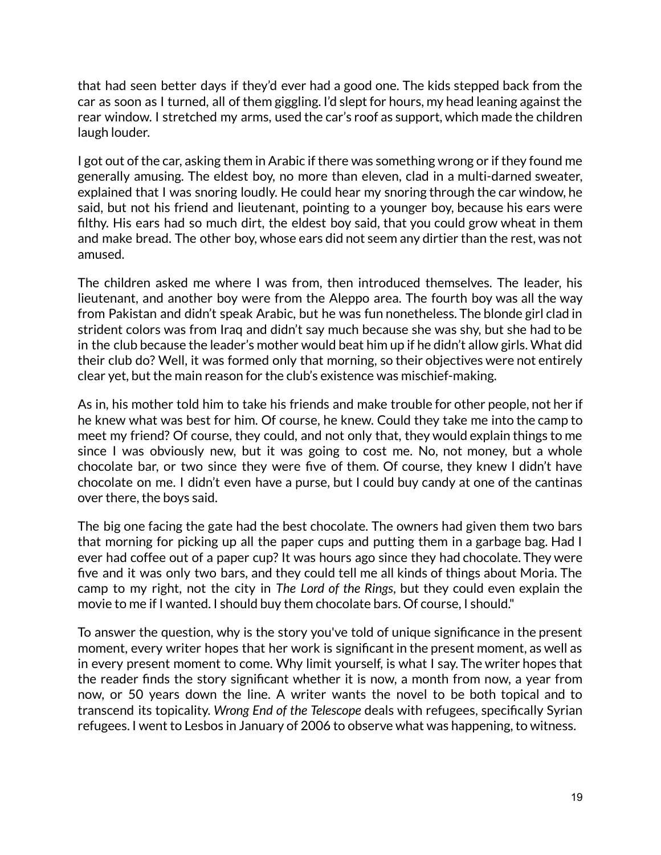that had seen better days if they'd ever had a good one. The kids stepped back from the car as soon as I turned, all of them giggling. I'd slept for hours, my head leaning against the rear window. I stretched my arms, used the car's roof as support, which made the children laugh louder.

I got out of the car, asking them in Arabic if there was something wrong or if they found me generally amusing. The eldest boy, no more than eleven, clad in a multi-darned sweater, explained that I was snoring loudly. He could hear my snoring through the car window, he said, but not his friend and lieutenant, pointing to a younger boy, because his ears were filthy. His ears had so much dirt, the eldest boy said, that you could grow wheat in them and make bread. The other boy, whose ears did not seem any dirtier than the rest, was not amused.

The children asked me where I was from, then introduced themselves. The leader, his lieutenant, and another boy were from the Aleppo area. The fourth boy was all the way from Pakistan and didn't speak Arabic, but he was fun nonetheless. The blonde girl clad in strident colors was from Iraq and didn't say much because she was shy, but she had to be in the club because the leader's mother would beat him up if he didn't allow girls. What did their club do? Well, it was formed only that morning, so their objectives were not entirely clear yet, but the main reason for the club's existence was mischief-making.

As in, his mother told him to take his friends and make trouble for other people, not her if he knew what was best for him. Of course, he knew. Could they take me into the camp to meet my friend? Of course, they could, and not only that, they would explain things to me since I was obviously new, but it was going to cost me. No, not money, but a whole chocolate bar, or two since they were five of them. Of course, they knew I didn't have chocolate on me. I didn't even have a purse, but I could buy candy at one of the cantinas over there, the boys said.

The big one facing the gate had the best chocolate. The owners had given them two bars that morning for picking up all the paper cups and putting them in a garbage bag. Had I ever had coffee out of a paper cup? It was hours ago since they had chocolate. They were five and it was only two bars, and they could tell me all kinds of things about Moria. The camp to my right, not the city in *The Lord of the Rings*, but they could even explain the movie to me if I wanted. I should buy them chocolate bars. Of course, I should."

To answer the question, why is the story you've told of unique significance in the present moment, every writer hopes that her work is significant in the present moment, as well as in every present moment to come. Why limit yourself, is what I say. The writer hopes that the reader finds the story significant whether it is now, a month from now, a year from now, or 50 years down the line. A writer wants the novel to be both topical and to transcend its topicality. *Wrong End of the Telescope* deals with refugees, specifically Syrian refugees. I went to Lesbos in January of 2006 to observe what was happening, to witness.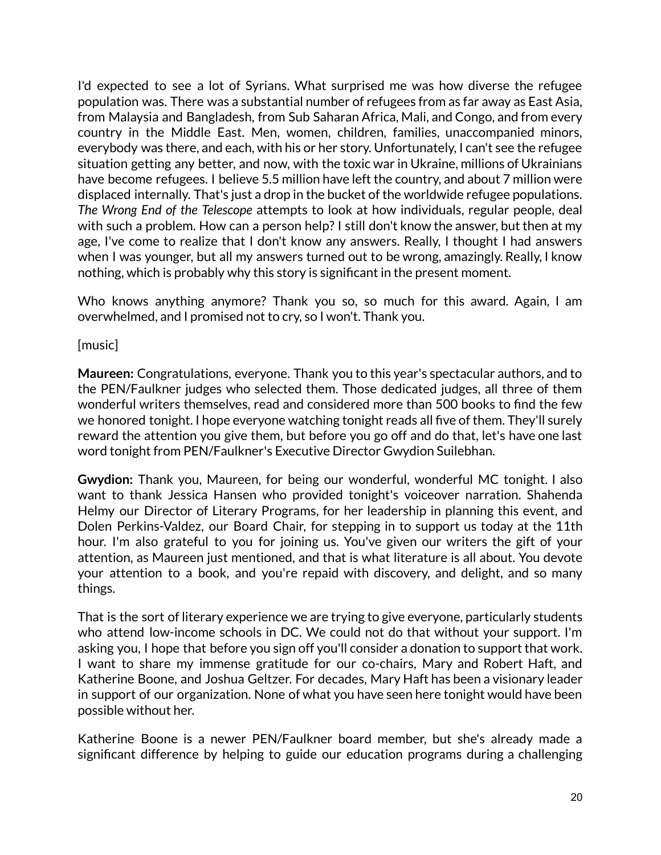I'd expected to see a lot of Syrians. What surprised me was how diverse the refugee population was. There was a substantial number of refugees from as far away as East Asia, from Malaysia and Bangladesh, from Sub Saharan Africa, Mali, and Congo, and from every country in the Middle East. Men, women, children, families, unaccompanied minors, everybody was there, and each, with his or her story. Unfortunately, I can't see the refugee situation getting any better, and now, with the toxic war in Ukraine, millions of Ukrainians have become refugees. I believe 5.5 million have left the country, and about 7 million were displaced internally. That's just a drop in the bucket of the worldwide refugee populations. *The Wrong End of the Telescope* attempts to look at how individuals, regular people, deal with such a problem. How can a person help? I still don't know the answer, but then at my age, I've come to realize that I don't know any answers. Really, I thought I had answers when I was younger, but all my answers turned out to be wrong, amazingly. Really, I know nothing, which is probably why this story is significant in the present moment.

Who knows anything anymore? Thank you so, so much for this award. Again, I am overwhelmed, and I promised not to cry, so I won't. Thank you.

[music]

**Maureen:** Congratulations, everyone. Thank you to this year's spectacular authors, and to the PEN/Faulkner judges who selected them. Those dedicated judges, all three of them wonderful writers themselves, read and considered more than 500 books to find the few we honored tonight. I hope everyone watching tonight reads all five of them. They'll surely reward the attention you give them, but before you go off and do that, let's have one last word tonight from PEN/Faulkner's Executive Director Gwydion Suilebhan.

**Gwydion:** Thank you, Maureen, for being our wonderful, wonderful MC tonight. I also want to thank Jessica Hansen who provided tonight's voiceover narration. Shahenda Helmy our Director of Literary Programs, for her leadership in planning this event, and Dolen Perkins-Valdez, our Board Chair, for stepping in to support us today at the 11th hour. I'm also grateful to you for joining us. You've given our writers the gift of your attention, as Maureen just mentioned, and that is what literature is all about. You devote your attention to a book, and you're repaid with discovery, and delight, and so many things.

That is the sort of literary experience we are trying to give everyone, particularly students who attend low-income schools in DC. We could not do that without your support. I'm asking you, I hope that before you sign off you'll consider a donation to support that work. I want to share my immense gratitude for our co-chairs, Mary and Robert Haft, and Katherine Boone, and Joshua Geltzer. For decades, Mary Haft has been a visionary leader in support of our organization. None of what you have seen here tonight would have been possible without her.

Katherine Boone is a newer PEN/Faulkner board member, but she's already made a significant difference by helping to guide our education programs during a challenging